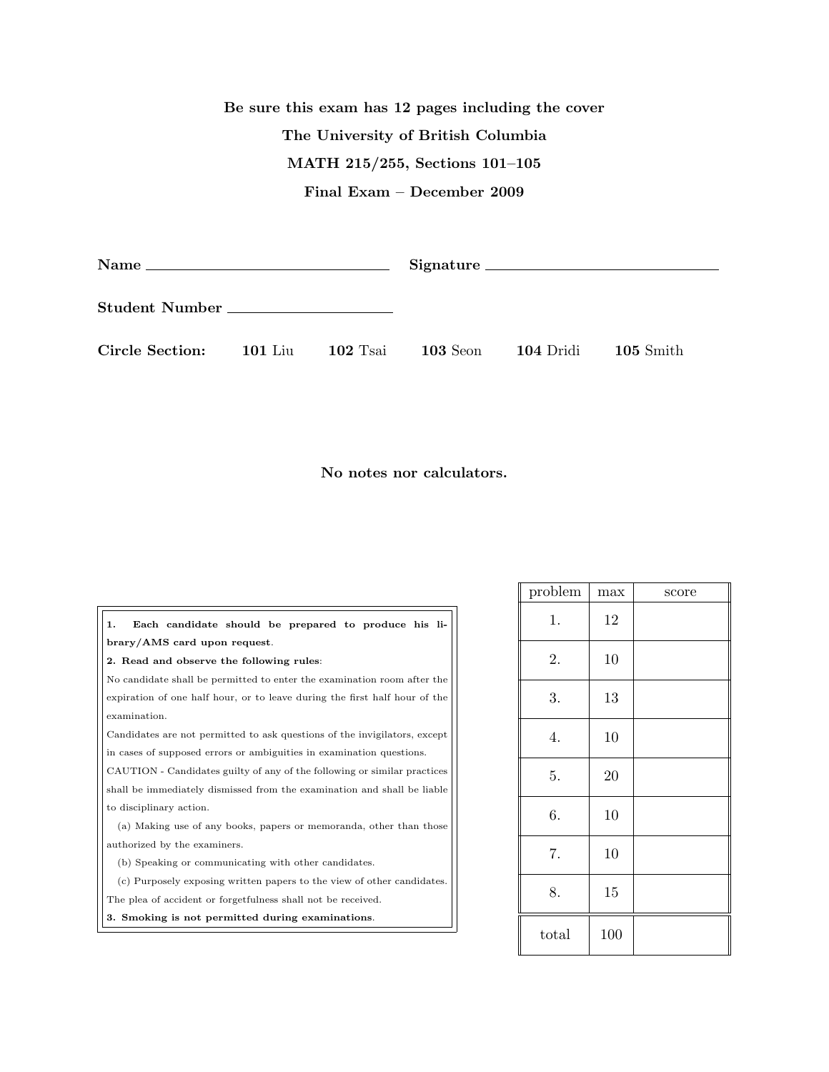## Be sure this exam has 12 pages including the cover The University of British Columbia MATH 215/255, Sections 101–105 Final Exam – December 2009

|                         |  |            | Signature                        |  |                     |
|-------------------------|--|------------|----------------------------------|--|---------------------|
| Student Number          |  |            |                                  |  |                     |
| Circle Section: 101 Liu |  | $102$ Tsai | <b>103</b> Seon <b>104</b> Dridi |  | $105 \text{ Smith}$ |

No notes nor calculators.

| 1.                                                                         | Each candidate should be prepared to produce his li- |  |  |  |
|----------------------------------------------------------------------------|------------------------------------------------------|--|--|--|
| brary/AMS card upon request.                                               |                                                      |  |  |  |
| 2. Read and observe the following rules:                                   |                                                      |  |  |  |
| No candidate shall be permitted to enter the examination room after the    |                                                      |  |  |  |
| expiration of one half hour, or to leave during the first half hour of the |                                                      |  |  |  |
| examination.                                                               |                                                      |  |  |  |
| Candidates are not permitted to ask questions of the invigilators, except  |                                                      |  |  |  |
| in cases of supposed errors or ambiguities in examination questions.       |                                                      |  |  |  |
| CAUTION - Candidates guilty of any of the following or similar practices   |                                                      |  |  |  |
| shall be immediately dismissed from the examination and shall be liable    |                                                      |  |  |  |
| to disciplinary action.                                                    |                                                      |  |  |  |
| (a) Making use of any books, papers or memoranda, other than those         |                                                      |  |  |  |
| authorized by the examiners.                                               |                                                      |  |  |  |
| (b) Speaking or communicating with other candidates.                       |                                                      |  |  |  |
| (c) Purposely exposing written papers to the view of other candidates.     |                                                      |  |  |  |
| The plea of accident or forgetfulness shall not be received.               |                                                      |  |  |  |
| 3. Smoking is not permitted during examinations.                           |                                                      |  |  |  |

| problem | max | score |
|---------|-----|-------|
| 1.      | 12  |       |
| 2.      | 10  |       |
| 3.      | 13  |       |
| 4.      | 10  |       |
| 5.      | 20  |       |
| 6.      | 10  |       |
| 7.      | 10  |       |
| 8.      | 15  |       |
| total   | 100 |       |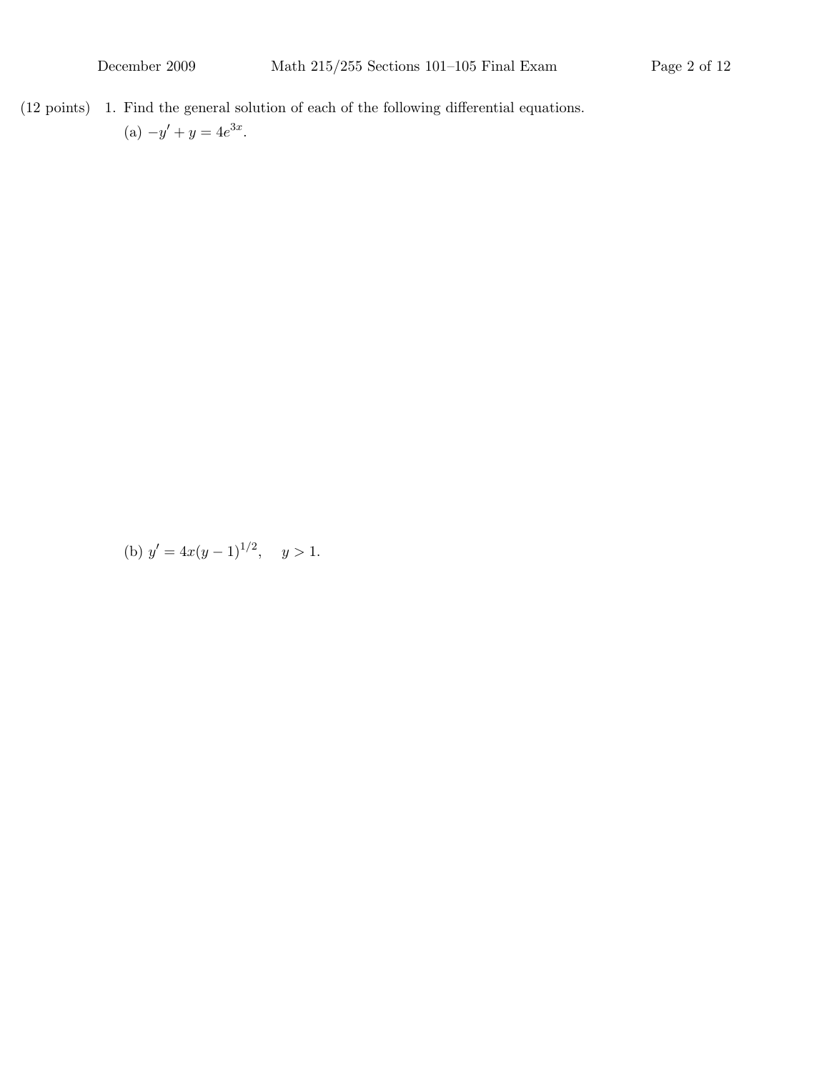$(12 \text{ points})$  1. Find the general solution of each of the following differential equations.

(a) 
$$
-y' + y = 4e^{3x}
$$
.

(b)  $y' = 4x(y-1)^{1/2}, \quad y > 1.$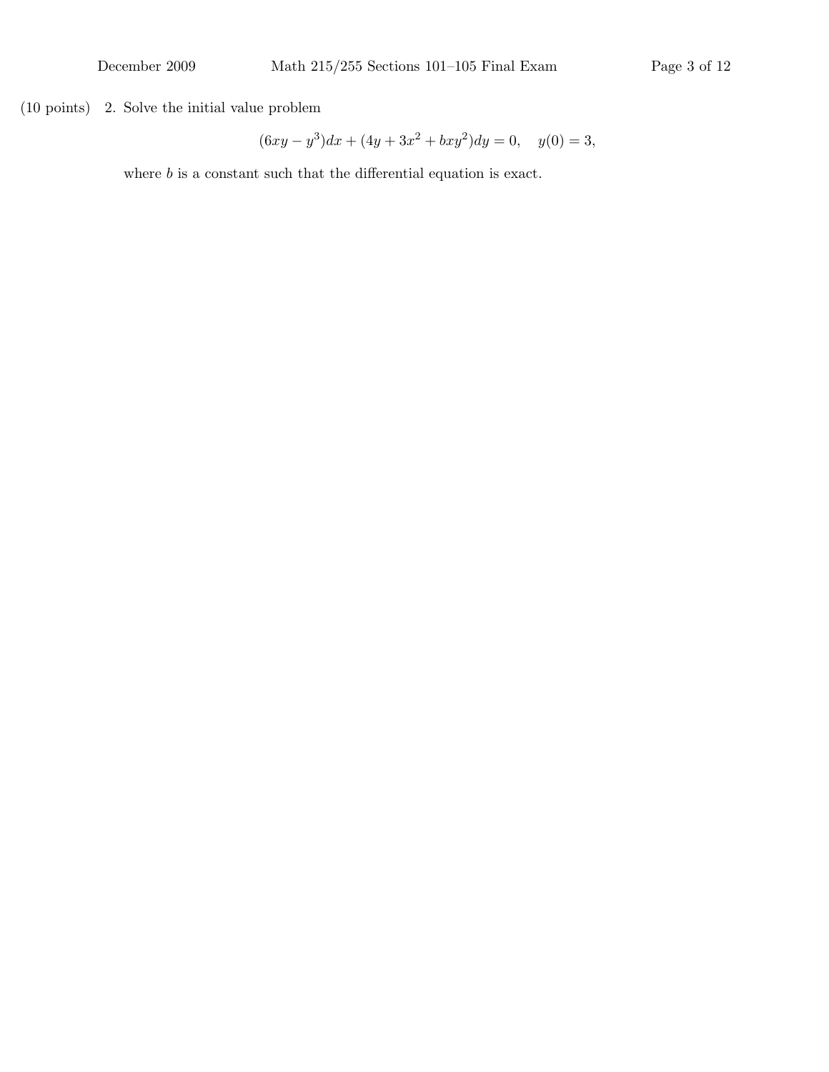$(10 \text{ points})$  2. Solve the initial value problem

$$
(6xy - y3)dx + (4y + 3x2 + bxy2)dy = 0, \quad y(0) = 3,
$$

where  $b$  is a constant such that the differential equation is exact.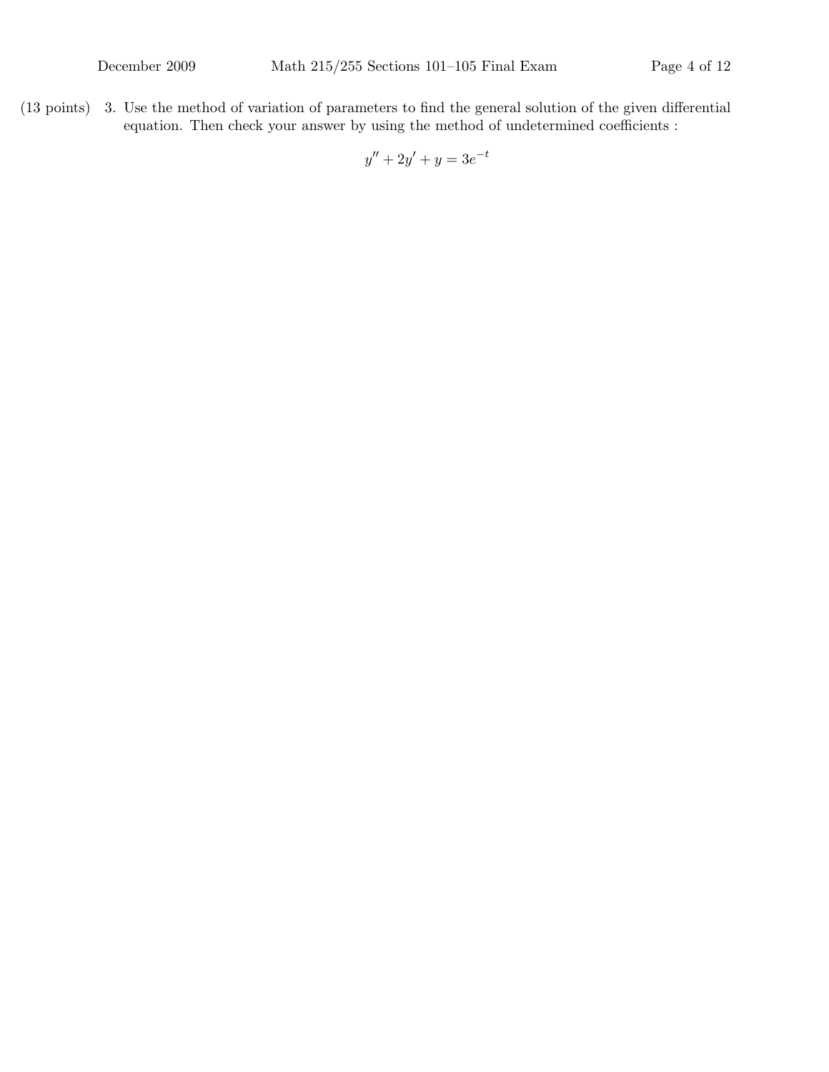$(13 \text{ points})$  3. Use the method of variation of parameters to find the general solution of the given differential equation. Then check your answer by using the method of undetermined coefficients :

$$
y'' + 2y' + y = 3e^{-t}
$$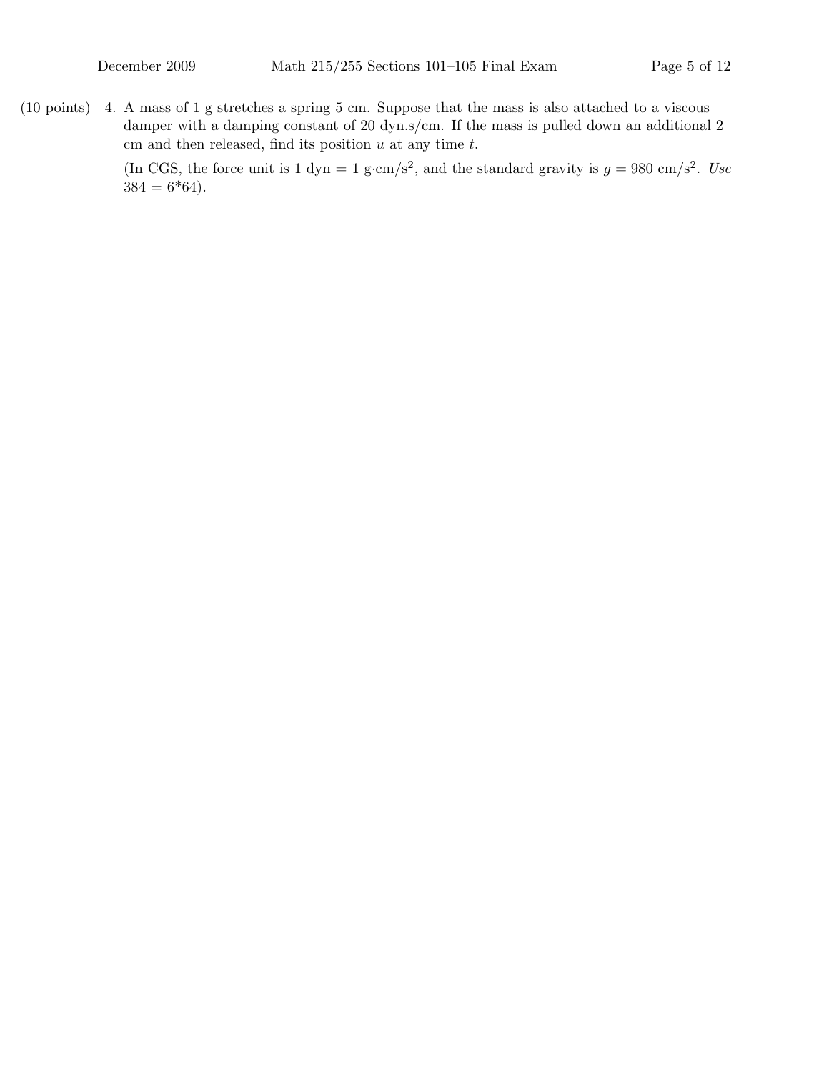(10 points) A mass of 1 g stretches a spring 5 cm. Suppose that the mass is also attached to a viscous 4. damper with a damping constant of 20 dyn.s/cm. If the mass is pulled down an additional 2 cm and then released, find its position  $u$  at any time  $t$ .

> (In CGS, the force unit is 1 dyn = 1 g·cm/s<sup>2</sup>, and the standard gravity is  $g = 980 \text{ cm/s}^2$ . Use  $384 = 6*64$ .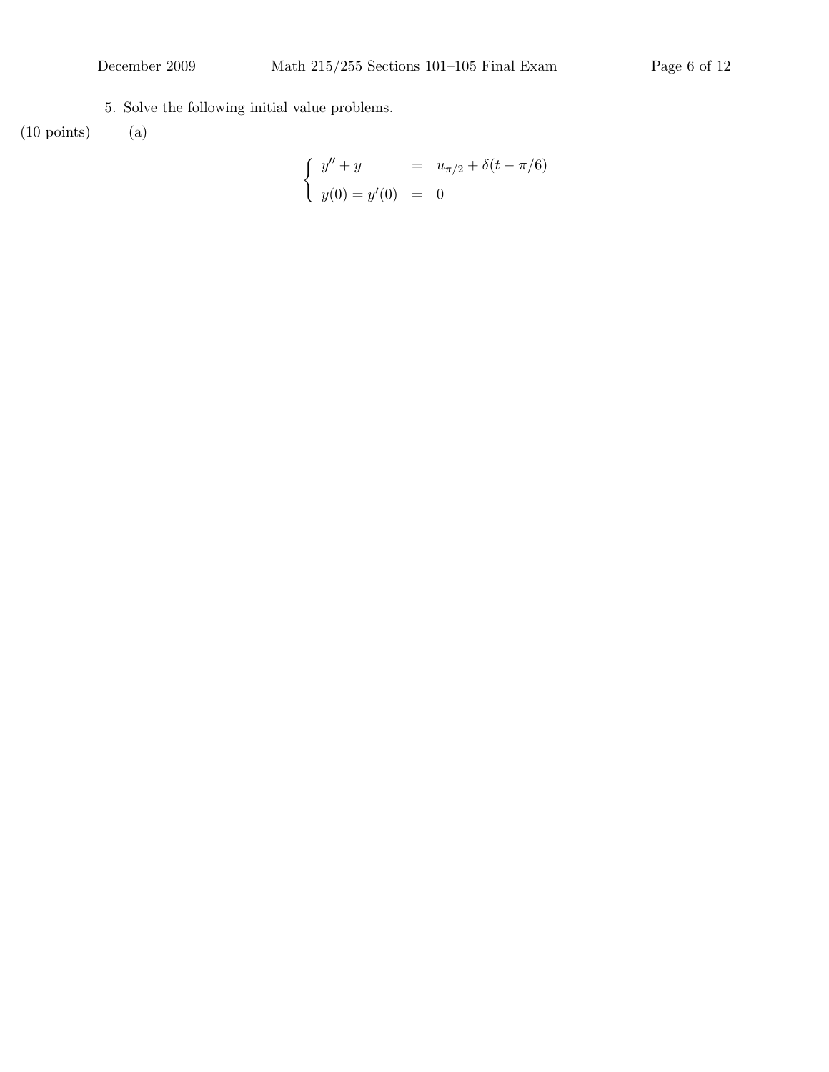5. Solve the following initial value problems.

 $(10\,\,\mathrm{points}) \qquad \, (\mathrm{a})$ 

$$
\begin{cases}\n y'' + y &= u_{\pi/2} + \delta(t - \pi/6) \\
 y(0) = y'(0) &= 0\n\end{cases}
$$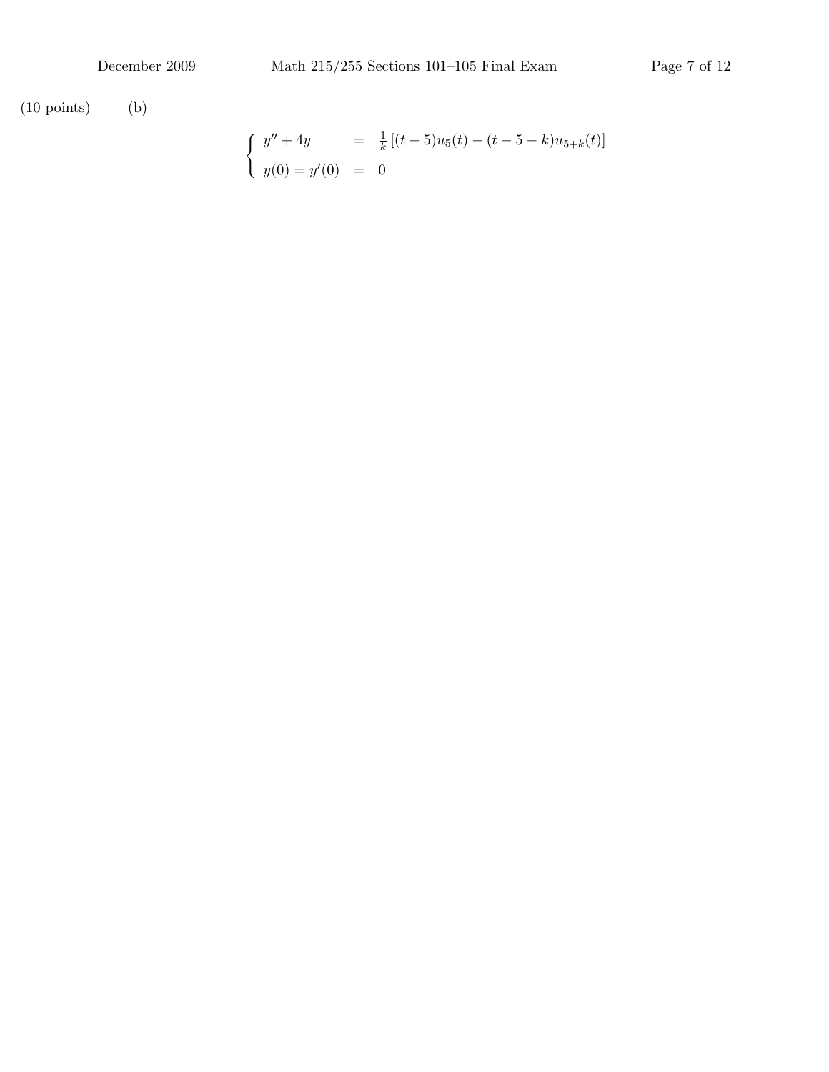(10 points) (b)

$$
\begin{cases}\ny'' + 4y = \frac{1}{k} [(t - 5)u_5(t) - (t - 5 - k)u_{5+k}(t)] \\
y(0) = y'(0) = 0\n\end{cases}
$$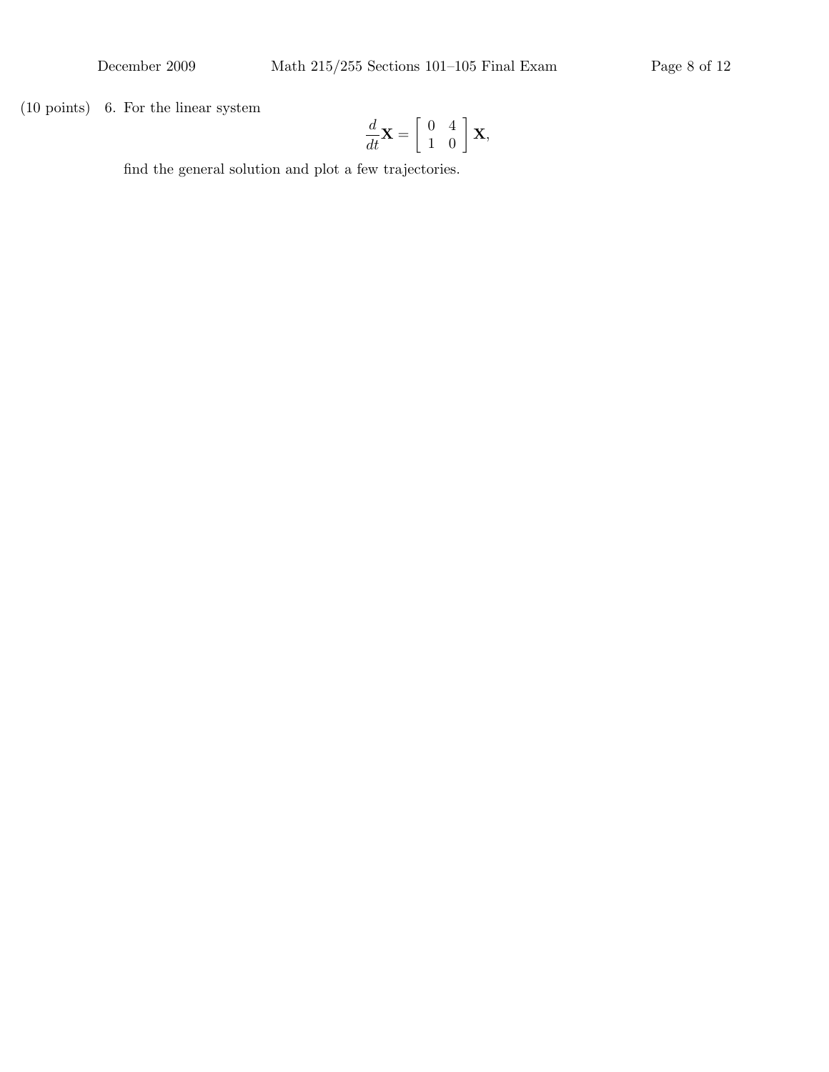$(10 \text{ points})$  6. For the linear system

$$
\frac{d}{dt}\mathbf{X} = \left[\begin{array}{cc} 0 & 4 \\ 1 & 0 \end{array}\right] \mathbf{X},
$$

find the general solution and plot a few trajectories.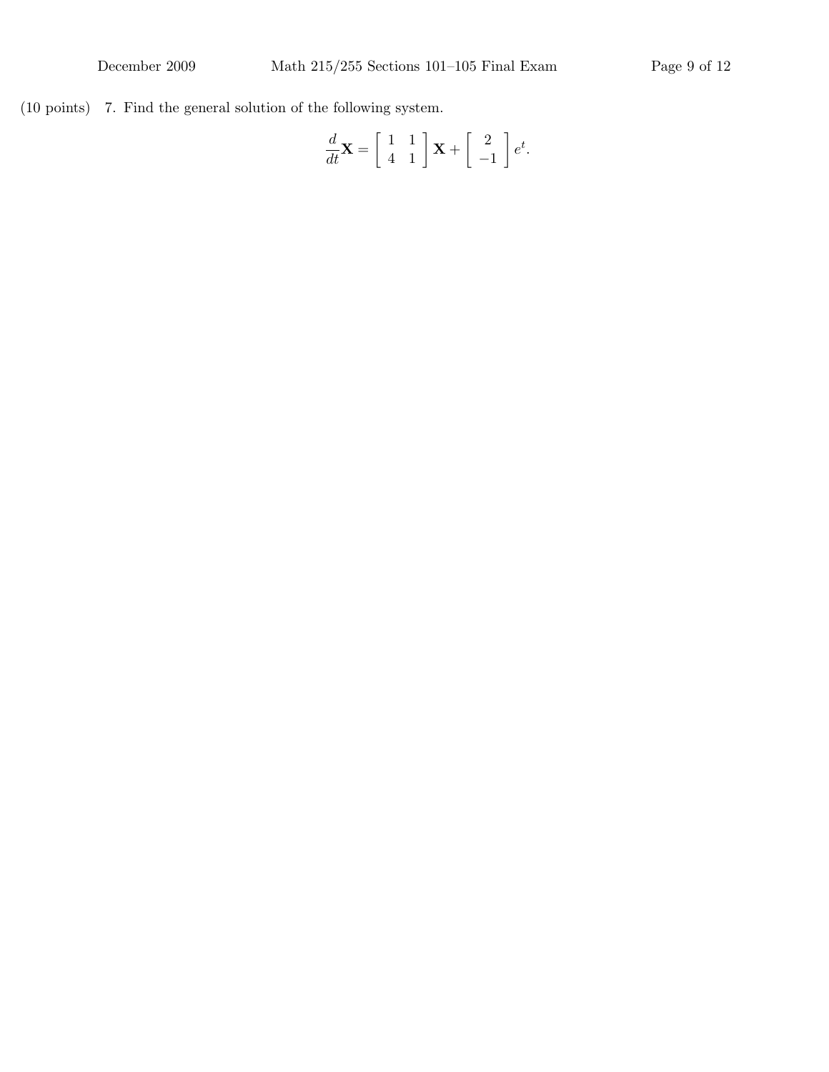$(10 \text{ points})$  7. Find the general solution of the following system.

$$
\frac{d}{dt}\mathbf{X} = \begin{bmatrix} 1 & 1 \\ 4 & 1 \end{bmatrix} \mathbf{X} + \begin{bmatrix} 2 \\ -1 \end{bmatrix} e^t.
$$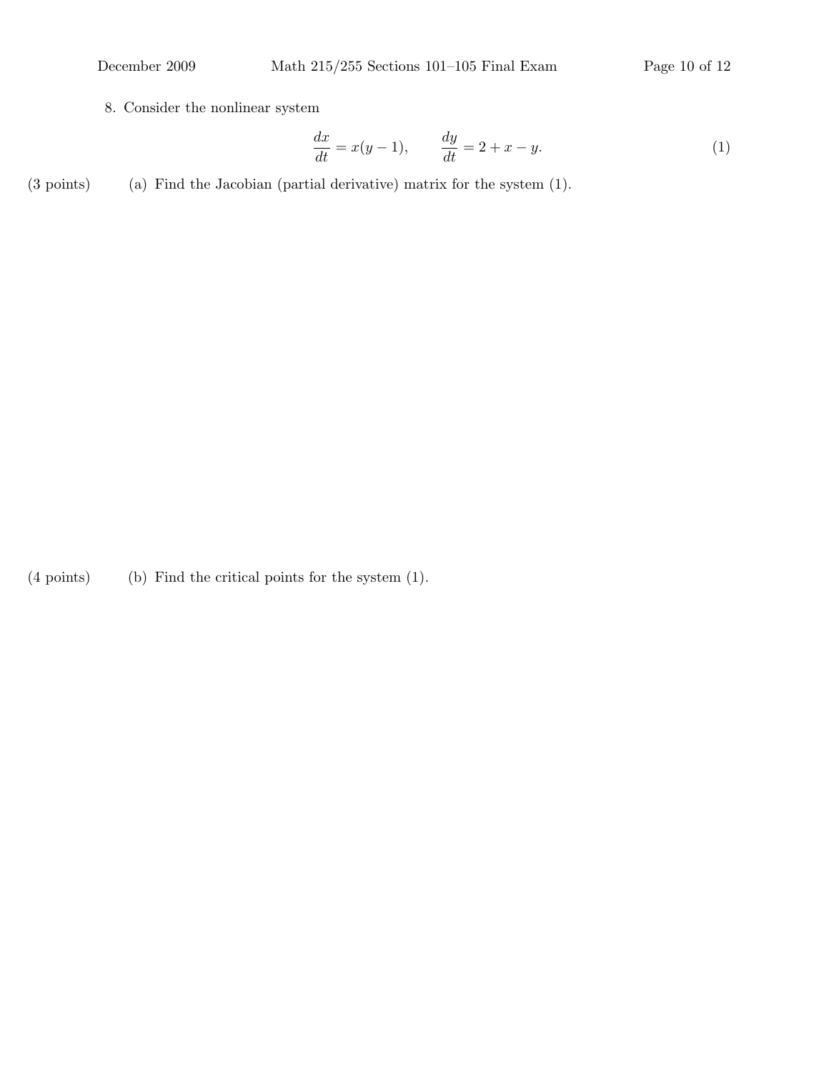8. Consider the nonlinear system

$$
\frac{dx}{dt} = x(y-1), \qquad \frac{dy}{dt} = 2 + x - y. \tag{1}
$$

 $(3 \text{ points})$  (a) Find the Jacobian (partial derivative) matrix for the system  $(1)$ .

 $(4 \text{ points})$  (b) Find the critical points for the system  $(1)$ .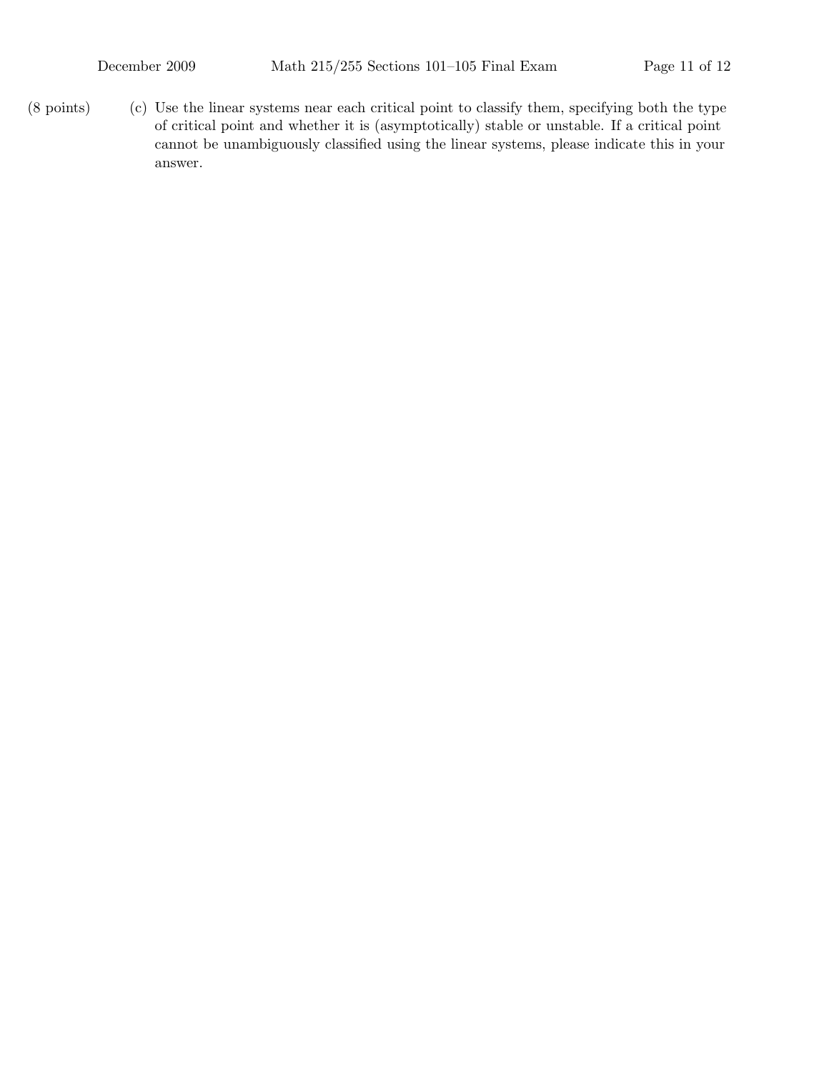$(8 \text{ points})$  (c) Use the linear systems near each critical point to classify them, specifying both the type of critical point and whether it is (asymptotically) stable or unstable. If a critical point cannot be unambiguously classified using the linear systems, please indicate this in your answer.